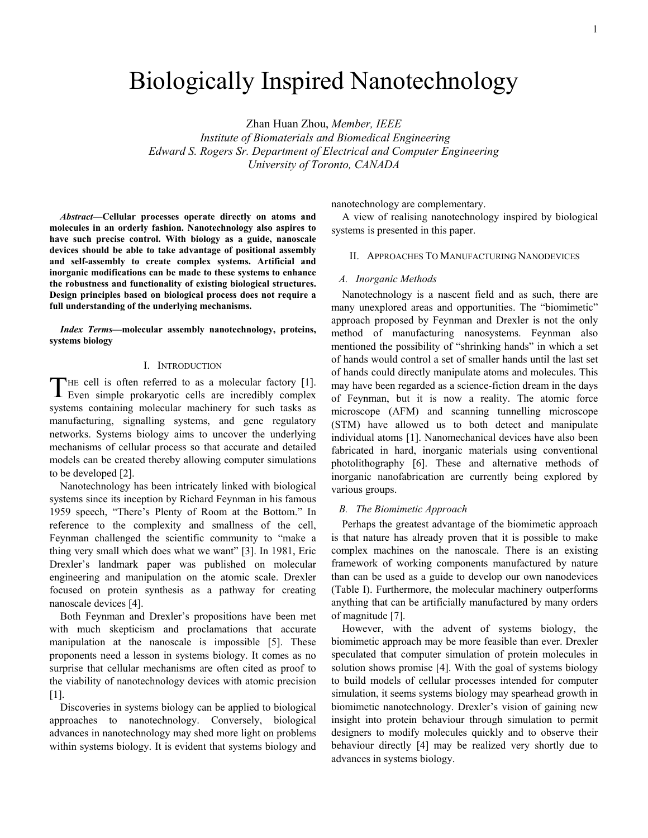# Biologically Inspired Nanotechnology

Zhan Huan Zhou, *Member, IEEE Institute of Biomaterials and Biomedical Engineering Edward S. Rogers Sr. Department of Electrical and Computer Engineering University of Toronto, CANADA*

*Abstract***—Cellular processes operate directly on atoms and molecules in an orderly fashion. Nanotechnology also aspires to have such precise control. With biology as a guide, nanoscale devices should be able to take advantage of positional assembly and self-assembly to create complex systems. Artificial and inorganic modifications can be made to these systems to enhance the robustness and functionality of existing biological structures. Design principles based on biological process does not require a full understanding of the underlying mechanisms.** 

*Index Terms***—molecular assembly nanotechnology, proteins, systems biology** 

# I. INTRODUCTION

THE cell is often referred to as a molecular factory [1]. THE cell is often referred to as a molecular factory [1].<br>Even simple prokaryotic cells are incredibly complex systems containing molecular machinery for such tasks as manufacturing, signalling systems, and gene regulatory networks. Systems biology aims to uncover the underlying mechanisms of cellular process so that accurate and detailed models can be created thereby allowing computer simulations to be developed [2].

Nanotechnology has been intricately linked with biological systems since its inception by Richard Feynman in his famous 1959 speech, "There's Plenty of Room at the Bottom." In reference to the complexity and smallness of the cell, Feynman challenged the scientific community to "make a thing very small which does what we want" [3]. In 1981, Eric Drexler's landmark paper was published on molecular engineering and manipulation on the atomic scale. Drexler focused on protein synthesis as a pathway for creating nanoscale devices [4].

Both Feynman and Drexler's propositions have been met with much skepticism and proclamations that accurate manipulation at the nanoscale is impossible [5]. These proponents need a lesson in systems biology. It comes as no surprise that cellular mechanisms are often cited as proof to the viability of nanotechnology devices with atomic precision [1].

Discoveries in systems biology can be applied to biological approaches to nanotechnology. Conversely, biological advances in nanotechnology may shed more light on problems within systems biology. It is evident that systems biology and nanotechnology are complementary.

A view of realising nanotechnology inspired by biological systems is presented in this paper.

# II. APPROACHES TO MANUFACTURING NANODEVICES

## *A. Inorganic Methods*

Nanotechnology is a nascent field and as such, there are many unexplored areas and opportunities. The "biomimetic" approach proposed by Feynman and Drexler is not the only method of manufacturing nanosystems. Feynman also mentioned the possibility of "shrinking hands" in which a set of hands would control a set of smaller hands until the last set of hands could directly manipulate atoms and molecules. This may have been regarded as a science-fiction dream in the days of Feynman, but it is now a reality. The atomic force microscope (AFM) and scanning tunnelling microscope (STM) have allowed us to both detect and manipulate individual atoms [1]. Nanomechanical devices have also been fabricated in hard, inorganic materials using conventional photolithography [6]. These and alternative methods of inorganic nanofabrication are currently being explored by various groups.

# *B. The Biomimetic Approach*

Perhaps the greatest advantage of the biomimetic approach is that nature has already proven that it is possible to make complex machines on the nanoscale. There is an existing framework of working components manufactured by nature than can be used as a guide to develop our own nanodevices (Table I). Furthermore, the molecular machinery outperforms anything that can be artificially manufactured by many orders of magnitude [7].

However, with the advent of systems biology, the biomimetic approach may be more feasible than ever. Drexler speculated that computer simulation of protein molecules in solution shows promise [4]. With the goal of systems biology to build models of cellular processes intended for computer simulation, it seems systems biology may spearhead growth in biomimetic nanotechnology. Drexler's vision of gaining new insight into protein behaviour through simulation to permit designers to modify molecules quickly and to observe their behaviour directly [4] may be realized very shortly due to advances in systems biology.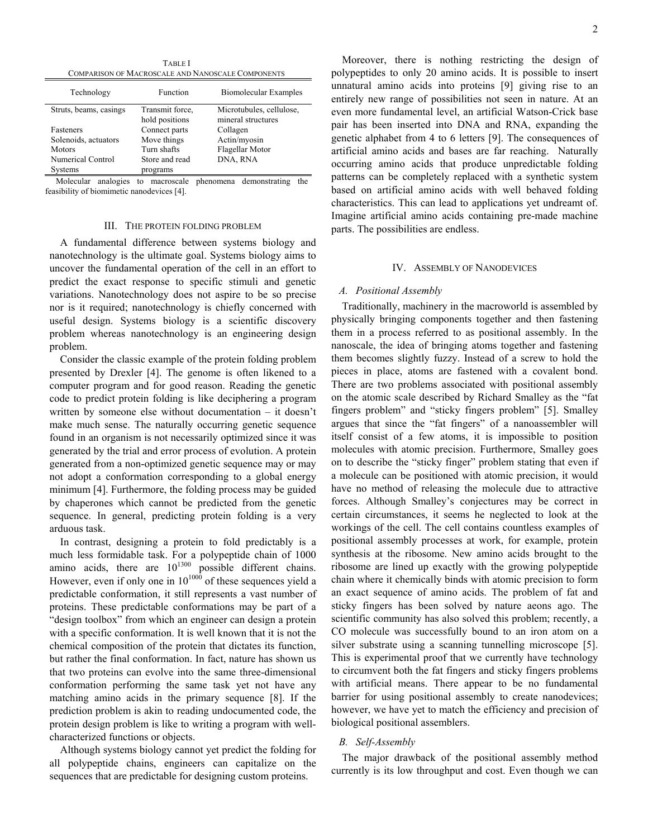TABLE I COMPARISON OF MACROSCALE AND NANOSCALE COMPONENTS

| Technology             | Function        | Biomolecular Examples    |
|------------------------|-----------------|--------------------------|
| Struts, beams, casings | Transmit force. | Microtubules, cellulose, |
|                        | hold positions  | mineral structures       |
| Fasteners              | Connect parts   | Collagen                 |
| Solenoids, actuators   | Move things     | Actin/myosin             |
| <b>Motors</b>          | Turn shafts     | Flagellar Motor          |
| Numerical Control      | Store and read  | DNA, RNA                 |
| <b>Systems</b>         | programs        |                          |

Molecular analogies to macroscale phenomena demonstrating the feasibility of biomimetic nanodevices [4].

#### III. THE PROTEIN FOLDING PROBLEM

A fundamental difference between systems biology and nanotechnology is the ultimate goal. Systems biology aims to uncover the fundamental operation of the cell in an effort to predict the exact response to specific stimuli and genetic variations. Nanotechnology does not aspire to be so precise nor is it required; nanotechnology is chiefly concerned with useful design. Systems biology is a scientific discovery problem whereas nanotechnology is an engineering design problem.

Consider the classic example of the protein folding problem presented by Drexler [4]. The genome is often likened to a computer program and for good reason. Reading the genetic code to predict protein folding is like deciphering a program written by someone else without documentation – it doesn't make much sense. The naturally occurring genetic sequence found in an organism is not necessarily optimized since it was generated by the trial and error process of evolution. A protein generated from a non-optimized genetic sequence may or may not adopt a conformation corresponding to a global energy minimum [4]. Furthermore, the folding process may be guided by chaperones which cannot be predicted from the genetic sequence. In general, predicting protein folding is a very arduous task.

In contrast, designing a protein to fold predictably is a much less formidable task. For a polypeptide chain of 1000 amino acids, there are  $10^{1300}$  possible different chains. However, even if only one in  $10^{1000}$  of these sequences yield a predictable conformation, it still represents a vast number of proteins. These predictable conformations may be part of a "design toolbox" from which an engineer can design a protein with a specific conformation. It is well known that it is not the chemical composition of the protein that dictates its function, but rather the final conformation. In fact, nature has shown us that two proteins can evolve into the same three-dimensional conformation performing the same task yet not have any matching amino acids in the primary sequence [8]. If the prediction problem is akin to reading undocumented code, the protein design problem is like to writing a program with wellcharacterized functions or objects.

Although systems biology cannot yet predict the folding for all polypeptide chains, engineers can capitalize on the sequences that are predictable for designing custom proteins.

Moreover, there is nothing restricting the design of polypeptides to only 20 amino acids. It is possible to insert unnatural amino acids into proteins [9] giving rise to an entirely new range of possibilities not seen in nature. At an even more fundamental level, an artificial Watson-Crick base pair has been inserted into DNA and RNA, expanding the genetic alphabet from 4 to 6 letters [9]. The consequences of artificial amino acids and bases are far reaching. Naturally occurring amino acids that produce unpredictable folding patterns can be completely replaced with a synthetic system based on artificial amino acids with well behaved folding characteristics. This can lead to applications yet undreamt of. Imagine artificial amino acids containing pre-made machine parts. The possibilities are endless.

# IV. ASSEMBLY OF NANODEVICES

# *A. Positional Assembly*

Traditionally, machinery in the macroworld is assembled by physically bringing components together and then fastening them in a process referred to as positional assembly. In the nanoscale, the idea of bringing atoms together and fastening them becomes slightly fuzzy. Instead of a screw to hold the pieces in place, atoms are fastened with a covalent bond. There are two problems associated with positional assembly on the atomic scale described by Richard Smalley as the "fat fingers problem" and "sticky fingers problem" [5]. Smalley argues that since the "fat fingers" of a nanoassembler will itself consist of a few atoms, it is impossible to position molecules with atomic precision. Furthermore, Smalley goes on to describe the "sticky finger" problem stating that even if a molecule can be positioned with atomic precision, it would have no method of releasing the molecule due to attractive forces. Although Smalley's conjectures may be correct in certain circumstances, it seems he neglected to look at the workings of the cell. The cell contains countless examples of positional assembly processes at work, for example, protein synthesis at the ribosome. New amino acids brought to the ribosome are lined up exactly with the growing polypeptide chain where it chemically binds with atomic precision to form an exact sequence of amino acids. The problem of fat and sticky fingers has been solved by nature aeons ago. The scientific community has also solved this problem; recently, a CO molecule was successfully bound to an iron atom on a silver substrate using a scanning tunnelling microscope [5]. This is experimental proof that we currently have technology to circumvent both the fat fingers and sticky fingers problems with artificial means. There appear to be no fundamental barrier for using positional assembly to create nanodevices; however, we have yet to match the efficiency and precision of biological positional assemblers.

## *B. Self-Assembly*

The major drawback of the positional assembly method currently is its low throughput and cost. Even though we can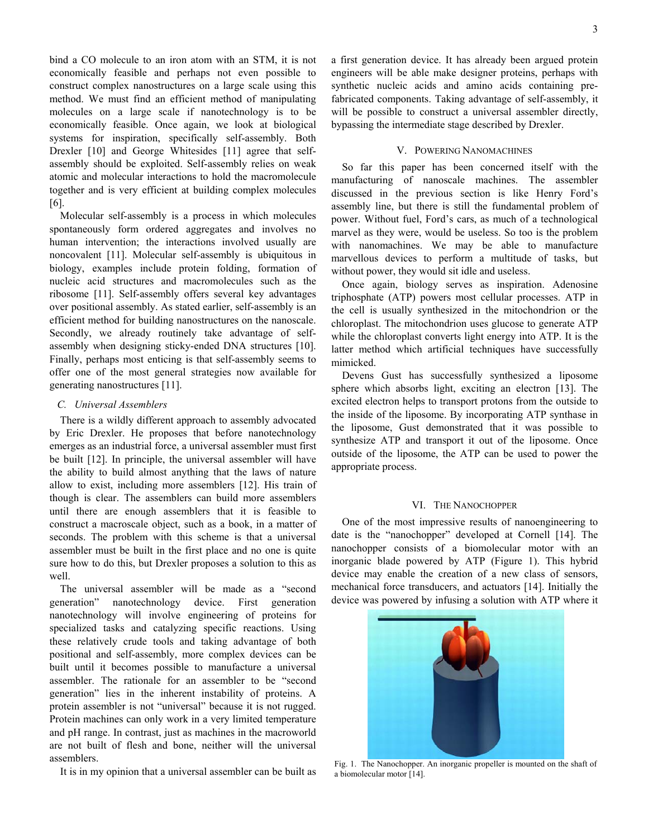bind a CO molecule to an iron atom with an STM, it is not economically feasible and perhaps not even possible to construct complex nanostructures on a large scale using this method. We must find an efficient method of manipulating molecules on a large scale if nanotechnology is to be economically feasible. Once again, we look at biological systems for inspiration, specifically self-assembly. Both Drexler [10] and George Whitesides [11] agree that selfassembly should be exploited. Self-assembly relies on weak atomic and molecular interactions to hold the macromolecule together and is very efficient at building complex molecules [6].

Molecular self-assembly is a process in which molecules spontaneously form ordered aggregates and involves no human intervention; the interactions involved usually are noncovalent [11]. Molecular self-assembly is ubiquitous in biology, examples include protein folding, formation of nucleic acid structures and macromolecules such as the ribosome [11]. Self-assembly offers several key advantages over positional assembly. As stated earlier, self-assembly is an efficient method for building nanostructures on the nanoscale. Secondly, we already routinely take advantage of selfassembly when designing sticky-ended DNA structures [10]. Finally, perhaps most enticing is that self-assembly seems to offer one of the most general strategies now available for generating nanostructures [11].

## *C. Universal Assemblers*

There is a wildly different approach to assembly advocated by Eric Drexler. He proposes that before nanotechnology emerges as an industrial force, a universal assembler must first be built [12]. In principle, the universal assembler will have the ability to build almost anything that the laws of nature allow to exist, including more assemblers [12]. His train of though is clear. The assemblers can build more assemblers until there are enough assemblers that it is feasible to construct a macroscale object, such as a book, in a matter of seconds. The problem with this scheme is that a universal assembler must be built in the first place and no one is quite sure how to do this, but Drexler proposes a solution to this as well.

The universal assembler will be made as a "second generation" nanotechnology device. First generation nanotechnology will involve engineering of proteins for specialized tasks and catalyzing specific reactions. Using these relatively crude tools and taking advantage of both positional and self-assembly, more complex devices can be built until it becomes possible to manufacture a universal assembler. The rationale for an assembler to be "second generation" lies in the inherent instability of proteins. A protein assembler is not "universal" because it is not rugged. Protein machines can only work in a very limited temperature and pH range. In contrast, just as machines in the macroworld are not built of flesh and bone, neither will the universal assemblers.

It is in my opinion that a universal assembler can be built as

a first generation device. It has already been argued protein engineers will be able make designer proteins, perhaps with synthetic nucleic acids and amino acids containing prefabricated components. Taking advantage of self-assembly, it will be possible to construct a universal assembler directly, bypassing the intermediate stage described by Drexler.

## V. POWERING NANOMACHINES

So far this paper has been concerned itself with the manufacturing of nanoscale machines. The assembler discussed in the previous section is like Henry Ford's assembly line, but there is still the fundamental problem of power. Without fuel, Ford's cars, as much of a technological marvel as they were, would be useless. So too is the problem with nanomachines. We may be able to manufacture marvellous devices to perform a multitude of tasks, but without power, they would sit idle and useless.

Once again, biology serves as inspiration. Adenosine triphosphate (ATP) powers most cellular processes. ATP in the cell is usually synthesized in the mitochondrion or the chloroplast. The mitochondrion uses glucose to generate ATP while the chloroplast converts light energy into ATP. It is the latter method which artificial techniques have successfully mimicked.

Devens Gust has successfully synthesized a liposome sphere which absorbs light, exciting an electron [13]. The excited electron helps to transport protons from the outside to the inside of the liposome. By incorporating ATP synthase in the liposome, Gust demonstrated that it was possible to synthesize ATP and transport it out of the liposome. Once outside of the liposome, the ATP can be used to power the appropriate process.

## VI. THE NANOCHOPPER

One of the most impressive results of nanoengineering to date is the "nanochopper" developed at Cornell [14]. The nanochopper consists of a biomolecular motor with an inorganic blade powered by ATP (Figure 1). This hybrid device may enable the creation of a new class of sensors, mechanical force transducers, and actuators [14]. Initially the device was powered by infusing a solution with ATP where it



Fig. 1. The Nanochopper. An inorganic propeller is mounted on the shaft of a biomolecular motor [14].